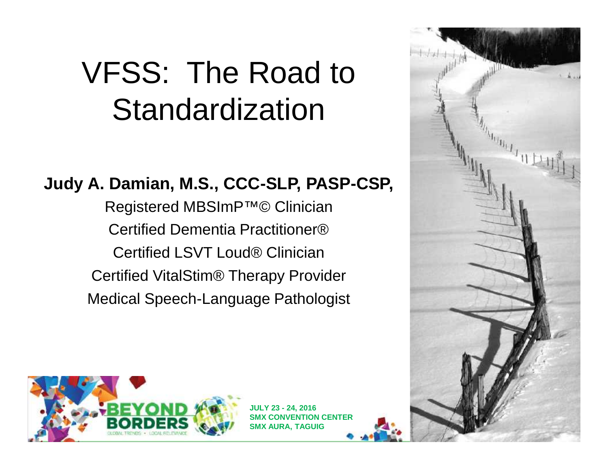# VFSS: The Road to Standardization

#### **Judy A. Damian, M.S., CCC-SLP, PASP-CSP,**

Registered MBSImP™© Clinician Certified Dementia Practitioner® Certified LSVT Loud® Clinician Certified VitalStim® Therapy Provider Medical Speech-Language Pathologist





**JULY 23 - 24, 2016 SMX CONVENTION CENTER SMX AURA, TAGUIG**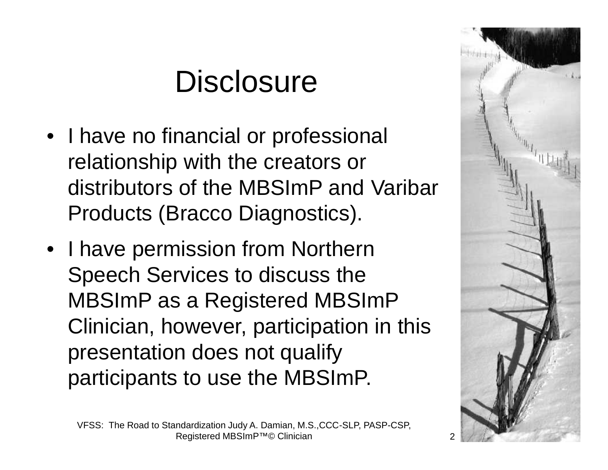# **Disclosure**

- I have no financial or professional relationship with the creators or distributors of the MBSImP and Varibar Products (Bracco Diagnostics).
- I have permission from Northern Speech Services to discuss the MBSImP as a Registered MBSImP Clinician, however, participation in this presentation does not qualify participants to use the MBSImP.

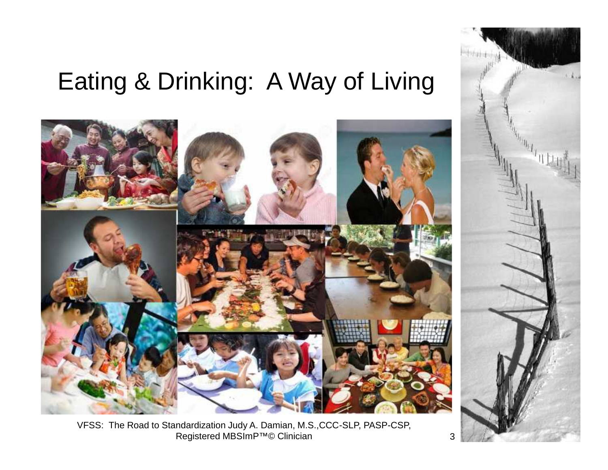# Eating & Drinking: A Way of Living



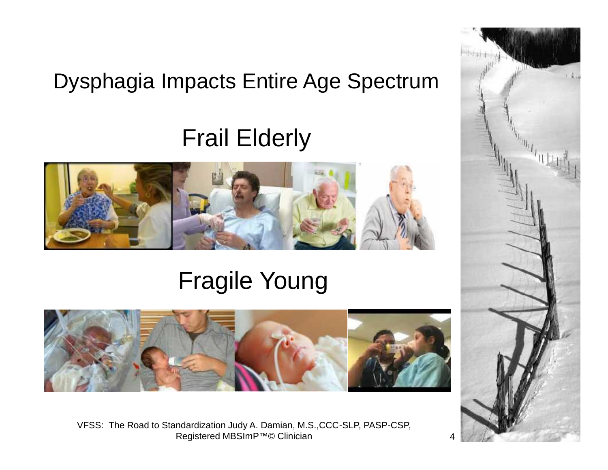#### Dysphagia Impacts Entire Age Spectrum

### Frail Elderly



## Fragile Young



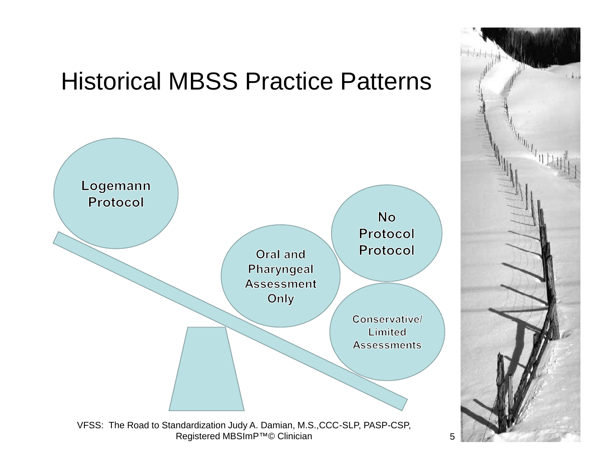

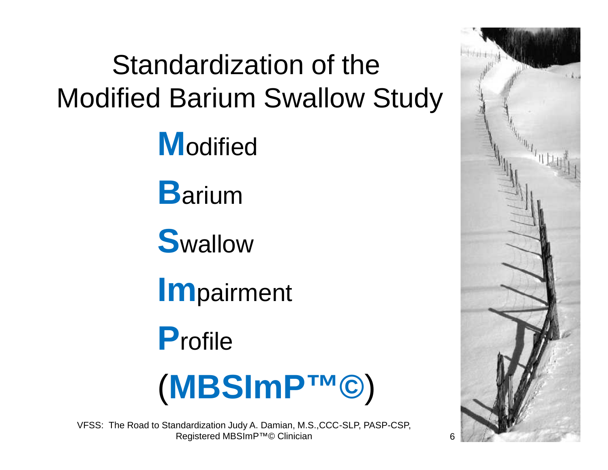# Standardization of the Modified Barium Swallow Study

**M**odified

**B**arium

**S**wallow

**Im**pairment

**P**rofile



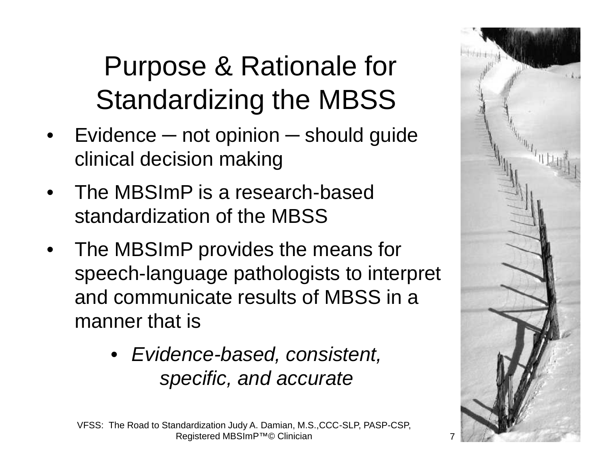# Purpose & Rationale for Standardizing the MBSS

- Evidence not opinion should guide clinical decision making
- The MBSImP is a research-based standardization of the MBSS
- The MBSImP provides the means for speech-language pathologists to interpret and communicate results of MBSS in a manner that is
	- *Evidence-based, consistent, specific, and accurate*



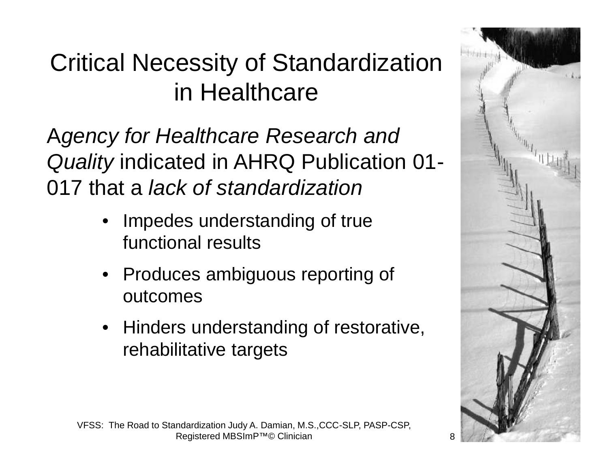## Critical Necessity of Standardization in Healthcare

A*gency for Healthcare Research and Quality* indicated in AHRQ Publication 01- 017 that a *lack of standardization*

- Impedes understanding of true functional results
- Produces ambiguous reporting of outcomes
- Hinders understanding of restorative, rehabilitative targets

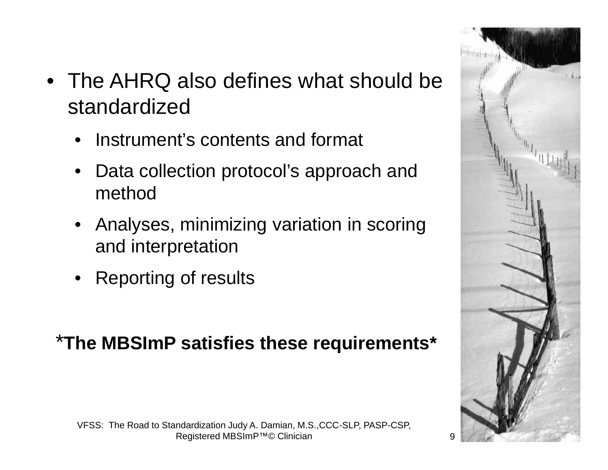- The AHRQ also defines what should be standardized
	- Instrument's contents and format
	- Data collection protocol's approach and method
	- Analyses, minimizing variation in scoring and interpretation
	- Reporting of results

#### \***The MBSImP satisfies these requirements\***



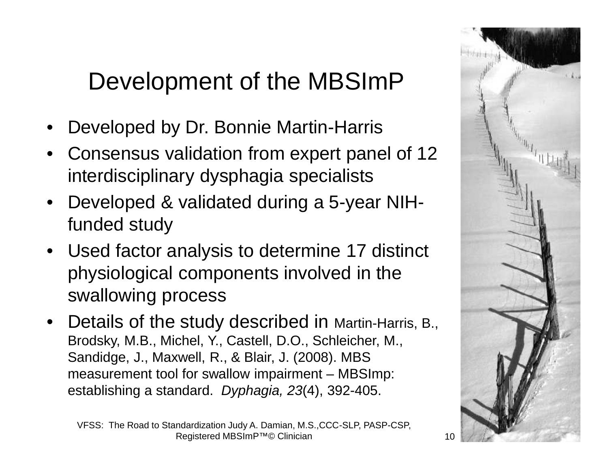## Development of the MBSImP

- Developed by Dr. Bonnie Martin-Harris
- Consensus validation from expert panel of 12 interdisciplinary dysphagia specialists
- Developed & validated during a 5-year NIHfunded study
- Used factor analysis to determine 17 distinct physiological components involved in the swallowing process
- Details of the study described in Martin-Harris, B., Brodsky, M.B., Michel, Y., Castell, D.O., Schleicher, M., Sandidge, J., Maxwell, R., & Blair, J. (2008). MBS measurement tool for swallow impairment – MBSImp: establishing a standard. *Dyphagia, 23*(4), 392-405.



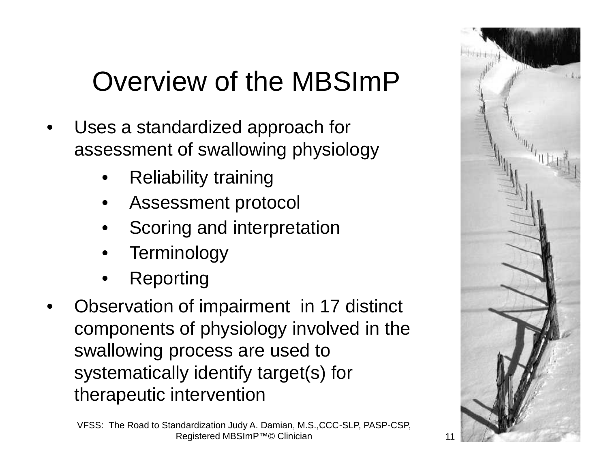# Overview of the MBSImP

- Uses a standardized approach for assessment of swallowing physiology
	- Reliability training
	- Assessment protocol
	- Scoring and interpretation
	- **Terminology**
	- **Reporting**
- Observation of impairment in 17 distinct components of physiology involved in the swallowing process are used to systematically identify target(s) for therapeutic intervention

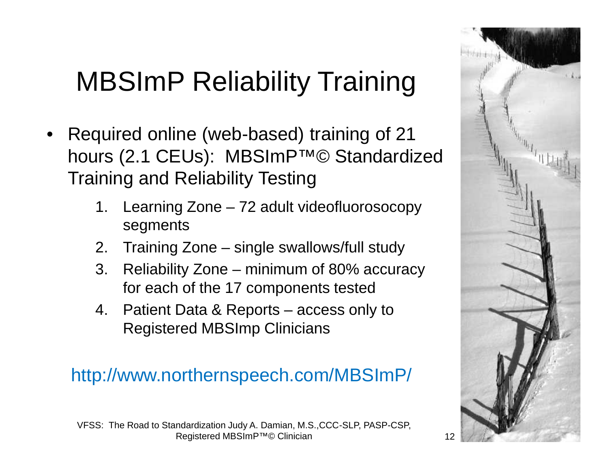# MBSImP Reliability Training

- Required online (web-based) training of 21 hours (2.1 CEUs): MBSImP™© Standardized Training and Reliability Testing
	- 1. Learning Zone 72 adult videofluorosocopy segments
	- 2. Training Zone single swallows/full study
	- 3. Reliability Zone minimum of 80% accuracy for each of the 17 components tested
	- 4. Patient Data & Reports access only to Registered MBSImp Clinicians

#### http://www.northernspeech.com/MBSImP/



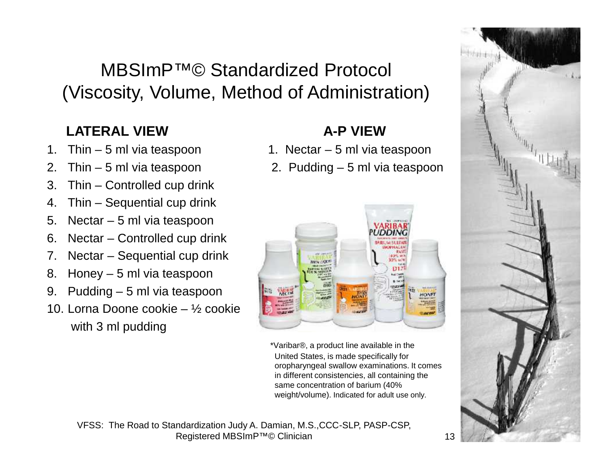#### MBSImP™© Standardized Protocol (Viscosity, Volume, Method of Administration)

#### **LATERAL VIEW A-P VIEW**

- 
- 
- 3. Thin Controlled cup drink
- 4. Thin Sequential cup drink
- 5. Nectar 5 ml via teaspoon
- 6. Nectar Controlled cup drink
- 7. Nectar Sequential cup drink
- 8. Honey 5 ml via teaspoon
- 9. Pudding 5 ml via teaspoon
- 10. Lorna Doone cookie ½ cookie with 3 ml pudding

- 1. Thin 5 ml via teaspoon 1. Nectar 5 ml via teaspoon
- 2. Thin 5 ml via teaspoon 2. Pudding 5 ml via teaspoon



\*Varibar®, a product line available in the United States, is made specifically for oropharyngeal swallow examinations. It comes in different consistencies, all containing the same concentration of barium (40% weight/volume). Indicated for adult use only.



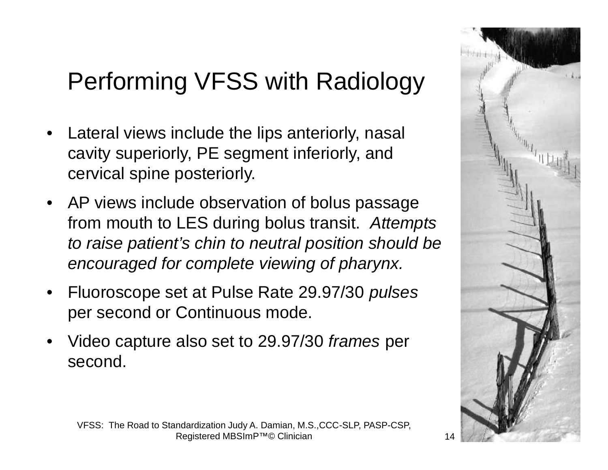# Performing VFSS with Radiology

- Lateral views include the lips anteriorly, nasal cavity superiorly, PE segment inferiorly, and cervical spine posteriorly.
- AP views include observation of bolus passage from mouth to LES during bolus transit. *Attempts to raise patient's chin to neutral position should be encouraged for complete viewing of pharynx.*
- Fluoroscope set at Pulse Rate 29.97/30 *pulses* per second or Continuous mode.
- Video capture also set to 29.97/30 *frames* per second.

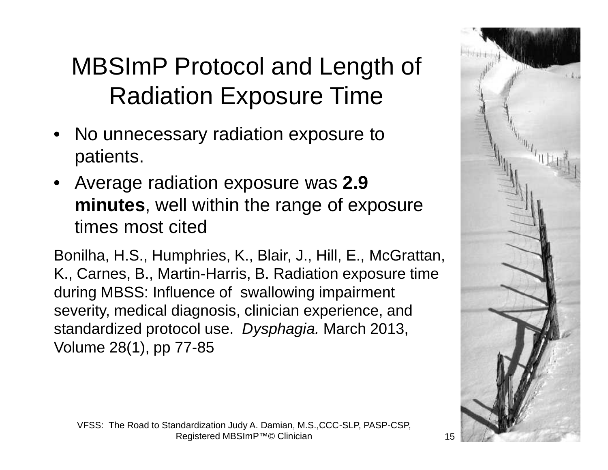# MBSImP Protocol and Length of Radiation Exposure Time

- No unnecessary radiation exposure to patients.
- Average radiation exposure was **2.9 minutes**, well within the range of exposure times most cited

Bonilha, H.S., Humphries, K., Blair, J., Hill, E., McGrattan, K., Carnes, B., Martin-Harris, B. Radiation exposure time during MBSS: Influence of swallowing impairment severity, medical diagnosis, clinician experience, and standardized protocol use. *Dysphagia.* March 2013, Volume 28(1), pp 77-85

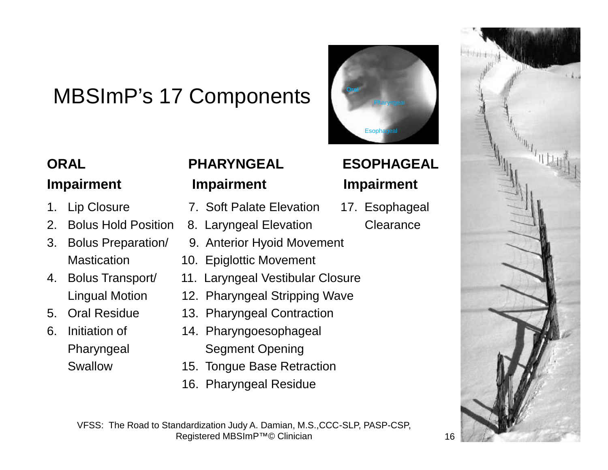#### MBSImP's 17 Components

- 
- 2. Bolus Hold Position 8. Laryngeal Elevation Clearance
- 
- 
- 
- 

#### **ORAL PHARYNGEAL ESOPHAGEAL Impairment Impairment Impairment**

- 1. Lip Closure 7. Soft Palate Elevation 17. Esophageal
	-
- 3. Bolus Preparation/ 9. Anterior Hyoid Movement
	- Mastication 10. Epiglottic Movement
- 4. Bolus Transport/ 11. Laryngeal Vestibular Closure
	- Lingual Motion 12. Pharyngeal Stripping Wave
- 5. Oral Residue 13. Pharyngeal Contraction
- 6. Initiation of 14. Pharyngoesophageal Pharyngeal Segment Opening
	- Swallow 15. Tongue Base Retraction
		- 16. Pharyngeal Residue

Registered MBSImP™© Clinician 16

**Ora**l

Esoph

**Pharyngeal** 

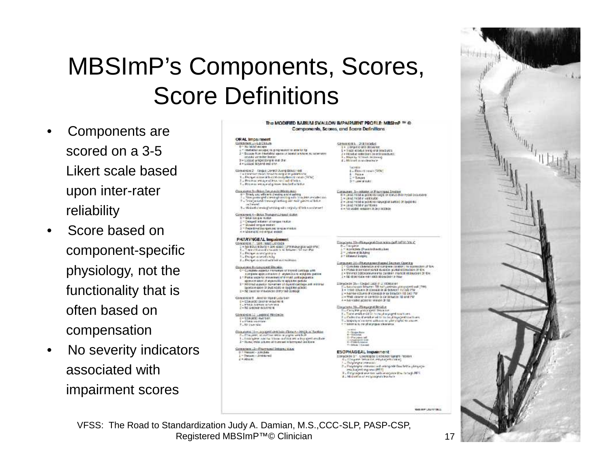## MBSImP's Components, Scores, Score Definitions

- Components are scored on a 3-5 Likert scale based upon inter-rater reliability
- Score based on component-specific physiology, not the functionality that is often based on compensation
- No severity indicators associated with impairment scores

| The MODIFIED BARIUM SWALLOW IMPAIRMENT PROFILE: MBSImP <sup>196</sup> @<br>Components, Scores, and Sacre Definitions                                                                                                                                                                                                                                                                                                                                                                                                                                                                                                                                                                                                                                                                                                                                                                                                                                                                                                                                       |                                                                                                                                                                                                                                                                                                                                                                                                                                                                                                                                                                                                                                                                                                                                                                                                                                                                                                                                                                                                                                                                                                                     |
|------------------------------------------------------------------------------------------------------------------------------------------------------------------------------------------------------------------------------------------------------------------------------------------------------------------------------------------------------------------------------------------------------------------------------------------------------------------------------------------------------------------------------------------------------------------------------------------------------------------------------------------------------------------------------------------------------------------------------------------------------------------------------------------------------------------------------------------------------------------------------------------------------------------------------------------------------------------------------------------------------------------------------------------------------------|---------------------------------------------------------------------------------------------------------------------------------------------------------------------------------------------------------------------------------------------------------------------------------------------------------------------------------------------------------------------------------------------------------------------------------------------------------------------------------------------------------------------------------------------------------------------------------------------------------------------------------------------------------------------------------------------------------------------------------------------------------------------------------------------------------------------------------------------------------------------------------------------------------------------------------------------------------------------------------------------------------------------------------------------------------------------------------------------------------------------|
| OR AL Impairment<br>сотратить - провлем<br>0 - Nu tablal vacapia<br>L- interfeit is capa; ni progression si letterior fa-<br>2 - Estado fran Enertable aguas et laparal la tetura, se selembon<br>boyced your for burder.<br>3 = 1.500pc propressing to mit dim-<br>4 = Lidged Scylvid and thin<br>Complete 2 - Fingue Corpol Auro Boastrook<br>The distribution means introduce to carrier at the published links.<br>1. Perge in weal listed averything of cours (SOM)<br>E. Presencies are of less can had diffuse.<br>Tu Poserio escape of greats that bill allahot<br>Conceivora: 3-Bolais Fan yn a i'r Afrikain Main<br>0 - Timely and efficient chewing and mashing.<br>1 - Row protected creating/ruscing with triauless restablished<br>2 = Deatjanized chewago article with said pieces at below<br>millened.<br>have the distinct in distinct rile grade of a second wide with with<br>Concerned 4-Bolos Transport Linuxi Video<br>D. T-Grild Lay J. M. N. 2001<br><b>L-Celepart initiated of Kneps multiply</b><br>reduction and business in   | Campanonth Drattlebake<br>1 . Dirige cloth Schurce<br>annual single wind subscription of a<br>2 × HE Sidrac, Golde Sight City for Shank (Europe)<br>4 - Machine 13 Travels Writerway<br>4. We can't in mode when y<br><b>hockline</b><br>4.2. Floor of moves (SOM)<br><b>E. Ralake</b><br>$\mathbb{Z} = \mathbb{R}$ chouvi<br>Dim Lakeratious (1)<br>Companier, 6-millions of Processued Dealers<br>industrial to be a many to discrimination and the hydrogeneous<br>1 was at head in vick outset<br>La multiplest for Soldman to boperate in original as a state car of Care S.<br>2 = 2010 field may make<br>4 = No visible resulter 31 day related                                                                                                                                                                                                                                                                                                                                                                                                                                                              |
| 3 ~ Republication and or quantulars<br>A + Marrietti no engui motori<br>PHARYNGEAL Impairment<br>Concionent / Ltdf (wast Lichtege<br>1 = No. 600cc 9 Starbon 2006 played (1995: Norwickel with UNA).<br>1 = Trade collusional character with limited 195 start PW.<br>X – Peter a antigrama<br>X – Peter a antigrama<br>La França la acessitació la materiale de<br>Consolidad Industrial Shokes<br>3 - Complete espector movement or thyred certifies with<br>company appropriation of rayastocks to establish parties.<br>1 * Peta sepator movement of throad cardiagegratia<br>sponsor sound of seypercolds to vest-the particles<br>1 - Mintmall appetite interactions of depend startings and minimize<br>зависимост от стол и судательной<br>1 . No begin to the word of the bod contage.<br>Corespricts # Arrichiv Hyeld Luturean<br>L . Concello prieter movement<br>E. L. MINER: AGENCY OF THROWING<br>2 . No precision recyclinical<br>CONSORIE 12 LEBROCK MOSCIETY.<br>Li = GD#cA12 Vw213/81<br><b>Ex Plane Investme</b><br>F., für Elektrikkel | Eleganese 13 - Flamesco A Counseiou 64 P. WEW DW K.<br>Bu Conquirie<br>L - spresira (Presby Barticulier<br>3 - Universit Bulghay<br>2 - Thianal Traight,<br>Corporat 14-Phanageas Sugari Instant Opeting<br>* Considers claimation and complete consider; no accountion of flow<br>2 . PEriod distribution states in a single state of the Section of the<br>2 . Weimal Editorial www.miss.comer.mission.com 31-8w<br>2 . No distortion was seen observates in team<br>Edwardwork 15 - Forduct Sabb 11 of Friendscale<br>(is be channel brown). Think province programs and (FW)<br>1 = 11986 COLImin Dr COnsiebb Or Dr Dictive 61, 112 Circl 1 W<br>2 - harby churn of consider in peaces 10 and PW<br>I = WHIL COUNTY OF DOWNER OF CATOCHAECH TIJ GHET W<br>A = Newsitte posterior minion (#11)<br>Complaint 10-Element McGdut<br>ti u Caroline presidenti devano.<br>Eu <mark>Trare sesit</mark> o e sitili coreo planyoget a success.<br>If a l'administrative internet en des phispagent southernes.<br>Fuldalysing of carriers with a solicity of the state of<br>it must be the property of the children car |
| Companies the appeal despute Course texplo System<br>Tu Etaquele, reussitosi estis aryogea vestiuit<br>the Entertainment is the the control and the control of medicine<br>2 - Picerac; while culturers all incentrated in beyong each versitiese.<br>Comparing 12-Playmand Telegra Way<br>0 - Panae: - Junidate<br>$1 -$ Power as $\sim$ denoted the state<br>Z = Abbater                                                                                                                                                                                                                                                                                                                                                                                                                                                                                                                                                                                                                                                                                 | <b>CONTRACTOR</b><br>A - Magne Bake<br># - Whitehal<br>C - Placement and<br>11 Hartyper American<br>1-Sha 11mml<br>ESOPHAGEAL Impairment<br>Diterpower: 1* Loophagour Debrings Nanghi Position<br>til. Che pele dessa sie, emptagent coal eg<br>L. Sulphagea menint<br>2 - Esquingne intrene auf introp ste faw fetts playinger<br>Philadelphil Marynes (PER)<br>8. Est pluged and too sale in injury the Triagh PES<br>A 2 Million of a set entity oughed described.                                                                                                                                                                                                                                                                                                                                                                                                                                                                                                                                                                                                                                               |

VFSS: The Road to Standardization Judy A. Damian, M.S.,CCC-SLP, PASP-CSP, Registered MBSImP™© Clinician 17



MARINE CRAWFORDS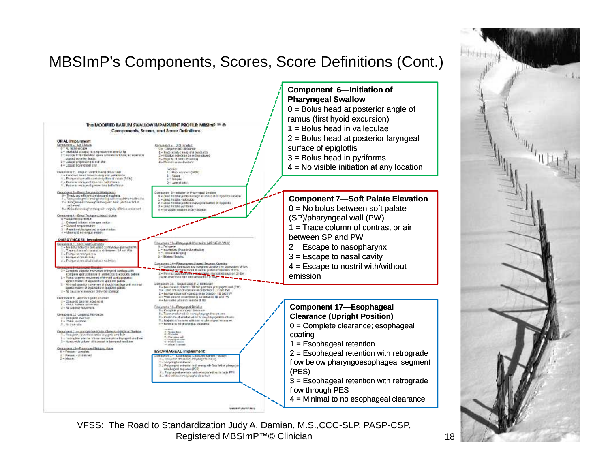#### MBSImP's Components, Scores, Score Definitions (Cont.)



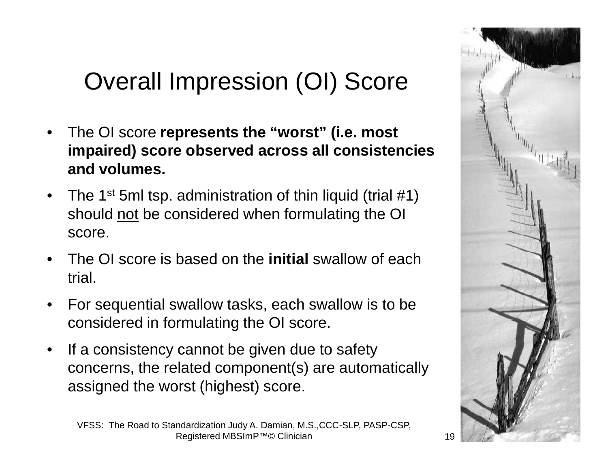## Overall Impression (OI) Score

- The OI score **represents the "worst" (i.e. most impaired) score observed across all consistencies and volumes.**
- The 1<sup>st</sup> 5ml tsp. administration of thin liquid (trial  $\#1$ ) should not be considered when formulating the OI score.
- The OI score is based on the **initial** swallow of each trial.
- For sequential swallow tasks, each swallow is to be considered in formulating the OI score.
- If a consistency cannot be given due to safety concerns, the related component(s) are automatically assigned the worst (highest) score.

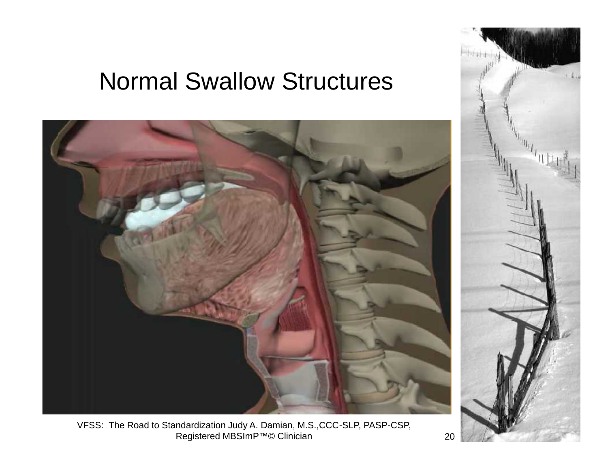#### Normal Swallow Structures





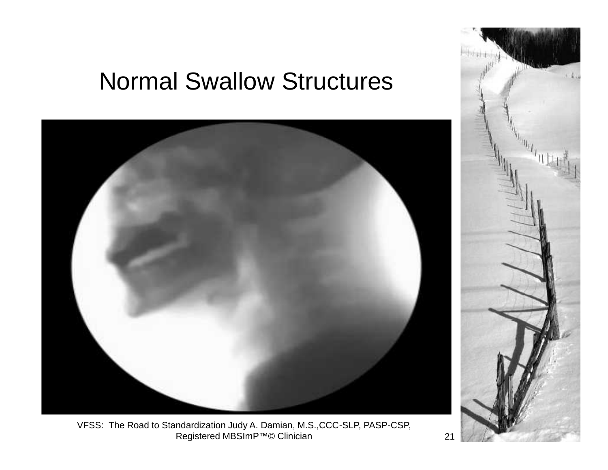#### Normal Swallow Structures



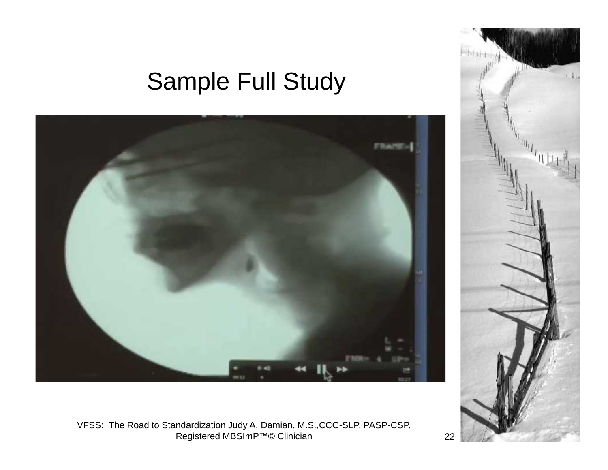#### Sample Full Study



**Statistics**  $\mathbf{u}_{\mathbf{q}^{\text{right}}} = \mathbf{u}_{\mathbf{q}^{\text{right}}} = \mathbf{u}_{\mathbf{q}^{\text{right}}} = \mathbf{u}_{\mathbf{q}^{\text{right}}},$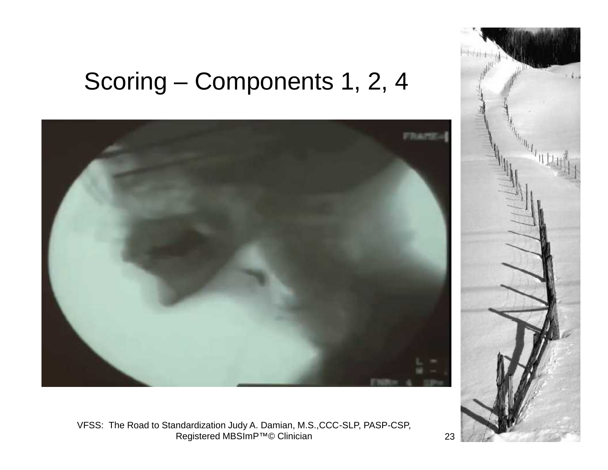## Scoring – Components 1, 2, 4



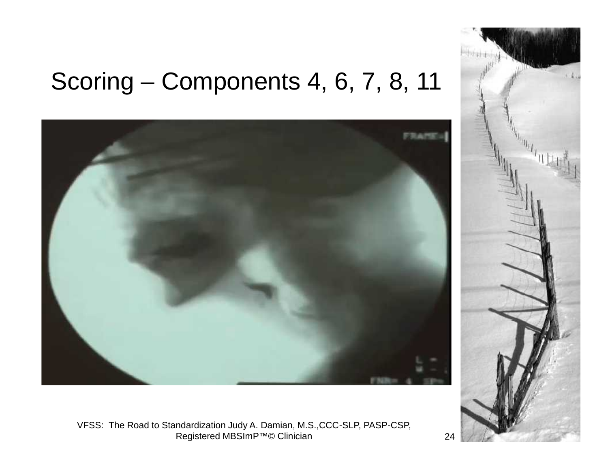#### Scoring – Components 4, 6, 7, 8, 11



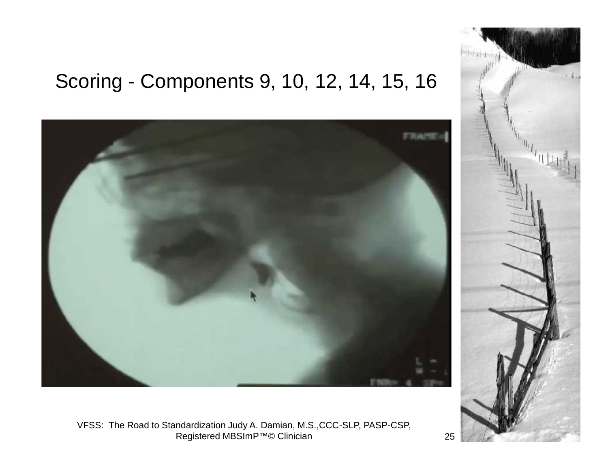#### Scoring - Components 9, 10, 12, 14, 15, 16



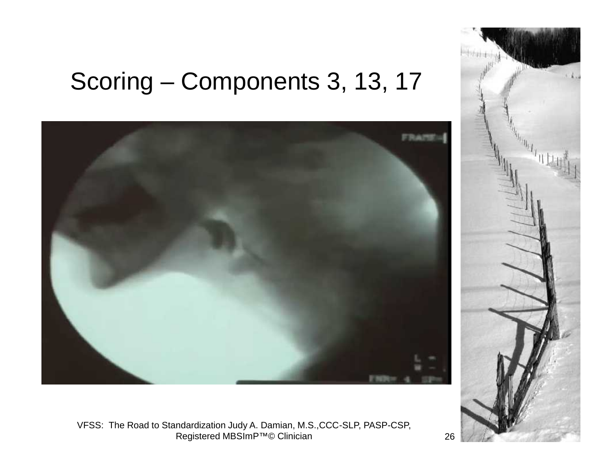### Scoring – Components 3, 13, 17



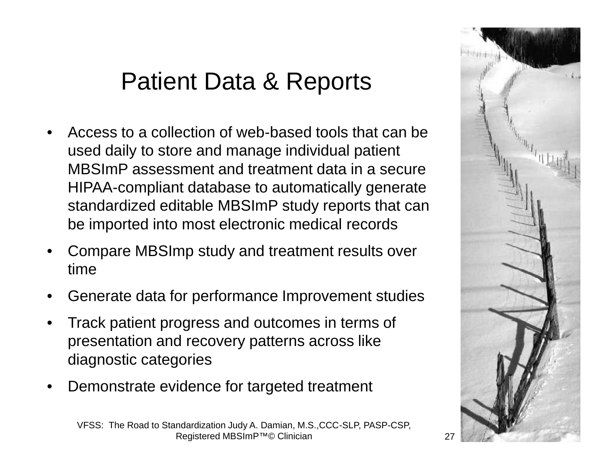#### Patient Data & Reports

- Access to a collection of web-based tools that can be used daily to store and manage individual patient MBSImP assessment and treatment data in a secure HIPAA-compliant database to automatically generate standardized editable MBSImP study reports that can be imported into most electronic medical records
- Compare MBSImp study and treatment results over time
- Generate data for performance Improvement studies
- Track patient progress and outcomes in terms of presentation and recovery patterns across like diagnostic categories
- Demonstrate evidence for targeted treatment



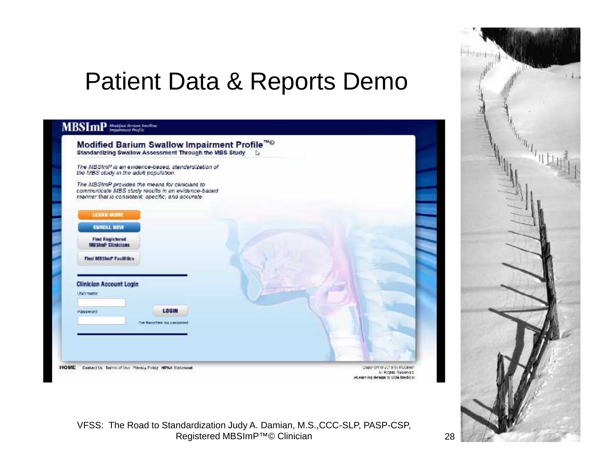#### Patient Data & Reports Demo

#### **MBSImP** *Musiques thropics Section*

| the MBS study in the adult population.              | The MBSImP is an evidence-based, standardization of                                                                                                         |  |
|-----------------------------------------------------|-------------------------------------------------------------------------------------------------------------------------------------------------------------|--|
|                                                     | The MBSImP provides the means for clinicians to<br>communicate MBS study results in an evidence-based<br>manner that is consistent, specific, and accurate. |  |
| <b>LEARN MORE</b>                                   |                                                                                                                                                             |  |
| <b>ENROLL NOW</b>                                   |                                                                                                                                                             |  |
| <b>Find Registered</b><br><b>MBSImP Cliniciaes</b>  |                                                                                                                                                             |  |
| <b>Find MBShnP Facilities</b>                       |                                                                                                                                                             |  |
|                                                     |                                                                                                                                                             |  |
| <b>Clinician Account Login</b><br><b>Extragance</b> |                                                                                                                                                             |  |
|                                                     |                                                                                                                                                             |  |
|                                                     | LOGIN                                                                                                                                                       |  |
| Password                                            |                                                                                                                                                             |  |
|                                                     | Eve forgother my password                                                                                                                                   |  |

VFSS: The Road to Standardization Judy A. Damian, M.S.,CCC-SLP, PASP-CSP, Registered MBSImP™© Clinician 28

eLearning design by DUA Medical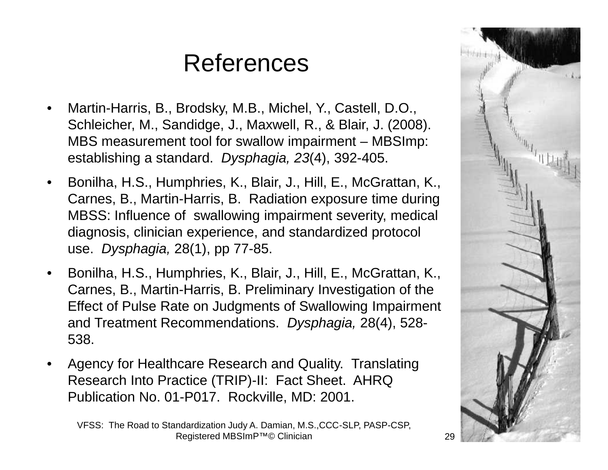## References

- Martin-Harris, B., Brodsky, M.B., Michel, Y., Castell, D.O., Schleicher, M., Sandidge, J., Maxwell, R., & Blair, J. (2008). MBS measurement tool for swallow impairment – MBSImp: establishing a standard. *Dysphagia, 23*(4), 392-405.
- Bonilha, H.S., Humphries, K., Blair, J., Hill, E., McGrattan, K., Carnes, B., Martin-Harris, B. Radiation exposure time during MBSS: Influence of swallowing impairment severity, medical diagnosis, clinician experience, and standardized protocol use. *Dysphagia,* 28(1), pp 77-85.
- Bonilha, H.S., Humphries, K., Blair, J., Hill, E., McGrattan, K., Carnes, B., Martin-Harris, B. Preliminary Investigation of the Effect of Pulse Rate on Judgments of Swallowing Impairment and Treatment Recommendations. *Dysphagia,* 28(4), 528- 538.
- Agency for Healthcare Research and Quality. Translating Research Into Practice (TRIP)-II: Fact Sheet. AHRQ Publication No. 01-P017. Rockville, MD: 2001.